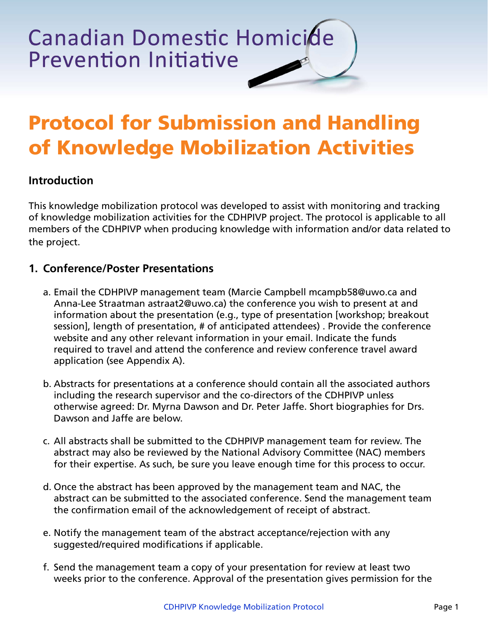**Canadian Domestic Homicide Prevention Initiative** 

# **Protocol for Submission and Handling of Knowledge Mobilization Activities**

## **Introduction**

This knowledge mobilization protocol was developed to assist with monitoring and tracking of knowledge mobilization activities for the CDHPIVP project. The protocol is applicable to all members of the CDHPIVP when producing knowledge with information and/or data related to the project.

#### **1. Conference/Poster Presentations**

- a. Email the CDHPIVP management team (Marcie Campbell mcampb58@uwo.ca and Anna-Lee Straatman astraat2@uwo.ca) the conference you wish to present at and information about the presentation (e.g., type of presentation [workshop; breakout session], length of presentation, # of anticipated attendees) . Provide the conference website and any other relevant information in your email. Indicate the funds required to travel and attend the conference and review conference travel award application (see Appendix A).
- b. Abstracts for presentations at a conference should contain all the associated authors including the research supervisor and the co-directors of the CDHPIVP unless otherwise agreed: Dr. Myrna Dawson and Dr. Peter Jaffe. Short biographies for Drs. Dawson and Jaffe are below.
- c. All abstracts shall be submitted to the CDHPIVP management team for review. The abstract may also be reviewed by the National Advisory Committee (NAC) members for their expertise. As such, be sure you leave enough time for this process to occur.
- d. Once the abstract has been approved by the management team and NAC, the abstract can be submitted to the associated conference. Send the management team the confirmation email of the acknowledgement of receipt of abstract.
- e. Notify the management team of the abstract acceptance/rejection with any suggested/required modifications if applicable.
- f. Send the management team a copy of your presentation for review at least two weeks prior to the conference. Approval of the presentation gives permission for the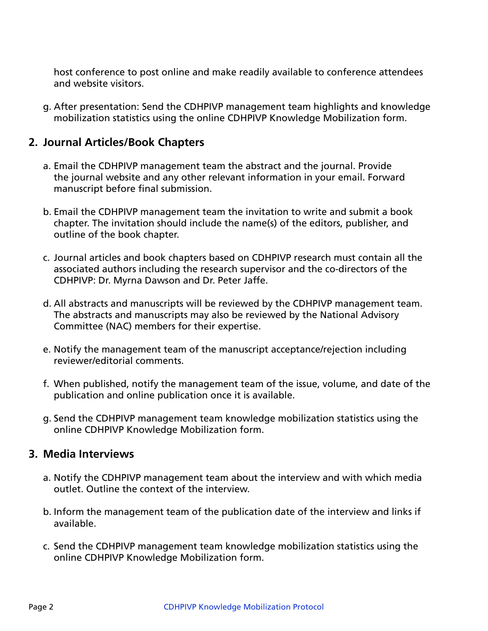host conference to post online and make readily available to conference attendees and website visitors.

g. After presentation: Send the CDHPIVP management team highlights and knowledge mobilization statistics using the online CDHPIVP Knowledge Mobilization form.

## **2. Journal Articles/Book Chapters**

- a. Email the CDHPIVP management team the abstract and the journal. Provide the journal website and any other relevant information in your email. Forward manuscript before final submission.
- b. Email the CDHPIVP management team the invitation to write and submit a book chapter. The invitation should include the name(s) of the editors, publisher, and outline of the book chapter.
- c. Journal articles and book chapters based on CDHPIVP research must contain all the associated authors including the research supervisor and the co-directors of the CDHPIVP: Dr. Myrna Dawson and Dr. Peter Jaffe.
- d. All abstracts and manuscripts will be reviewed by the CDHPIVP management team. The abstracts and manuscripts may also be reviewed by the National Advisory Committee (NAC) members for their expertise.
- e. Notify the management team of the manuscript acceptance/rejection including reviewer/editorial comments.
- f. When published, notify the management team of the issue, volume, and date of the publication and online publication once it is available.
- g. Send the CDHPIVP management team knowledge mobilization statistics using the online CDHPIVP Knowledge Mobilization form.

#### **3. Media Interviews**

- a. Notify the CDHPIVP management team about the interview and with which media outlet. Outline the context of the interview.
- b. Inform the management team of the publication date of the interview and links if available.
- c. Send the CDHPIVP management team knowledge mobilization statistics using the online CDHPIVP Knowledge Mobilization form.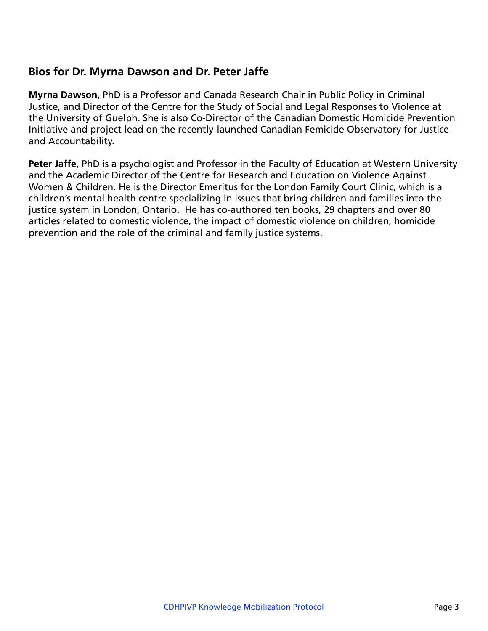## **Bios for Dr. Myrna Dawson and Dr. Peter Jaffe**

**Myrna Dawson,** PhD is a Professor and Canada Research Chair in Public Policy in Criminal Justice, and Director of the Centre for the Study of Social and Legal Responses to Violence at the University of Guelph. She is also Co-Director of the Canadian Domestic Homicide Prevention Initiative and project lead on the recently-launched Canadian Femicide Observatory for Justice and Accountability.

**Peter Jaffe,** PhD is a psychologist and Professor in the Faculty of Education at Western University and the Academic Director of the Centre for Research and Education on Violence Against Women & Children. He is the Director Emeritus for the London Family Court Clinic, which is a children's mental health centre specializing in issues that bring children and families into the justice system in London, Ontario. He has co-authored ten books, 29 chapters and over 80 articles related to domestic violence, the impact of domestic violence on children, homicide prevention and the role of the criminal and family justice systems.